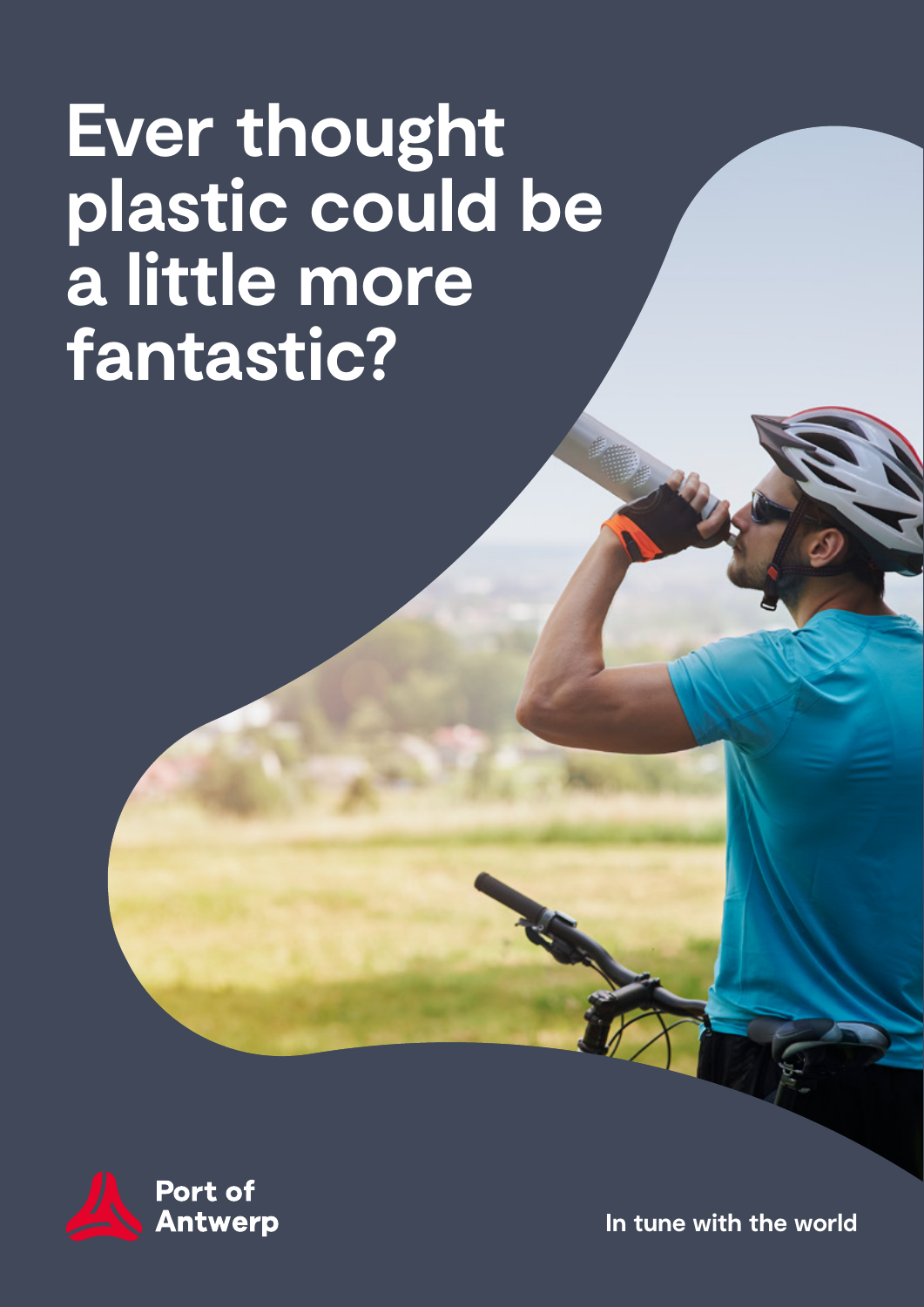## **Ever thought plastic could be a little more fantastic?**



**In tune with the world**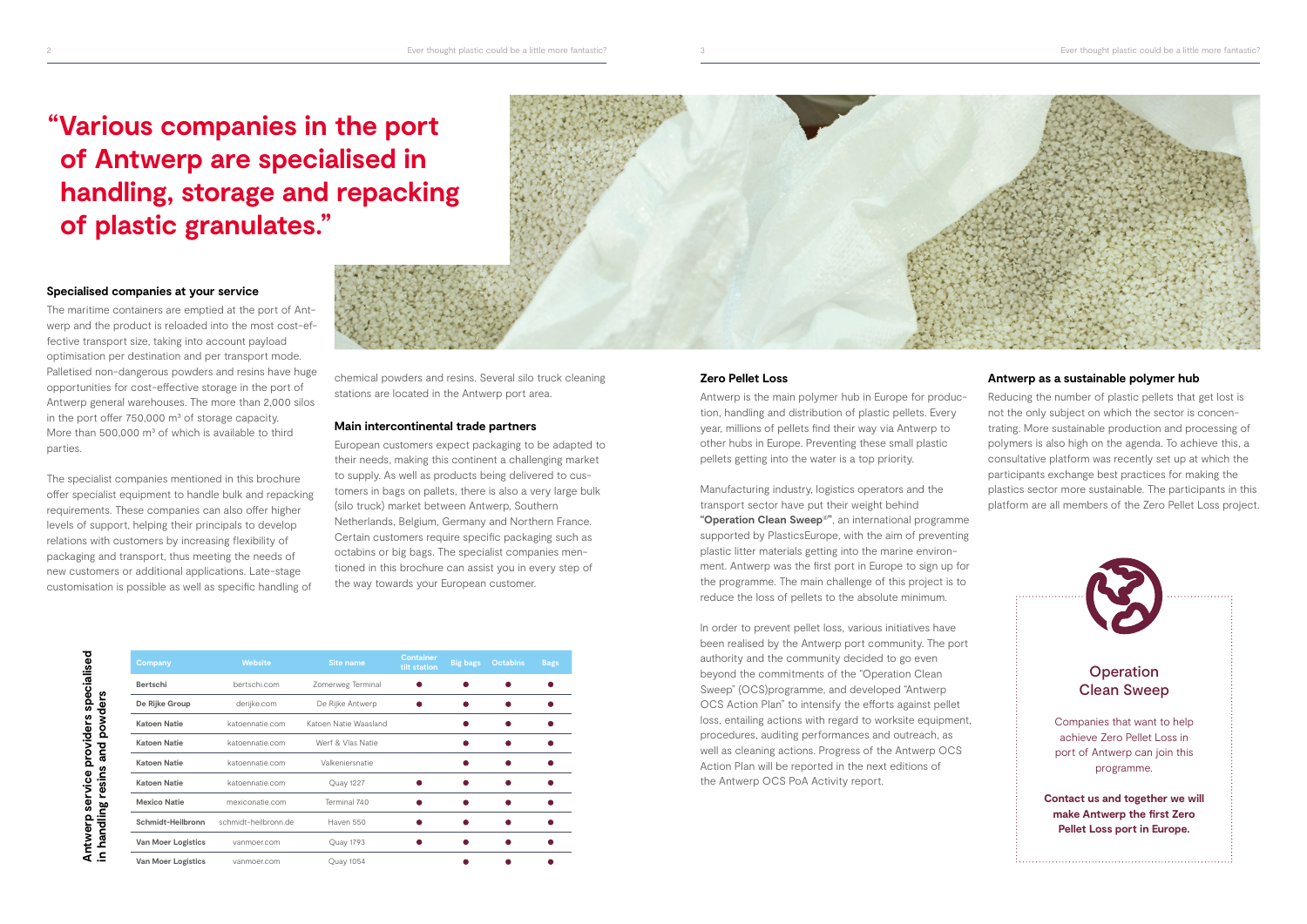#### **Specialised companies at your service**

The maritime containers are emptied at the port of Antwerp and the product is reloaded into the most cost-effective transport size, taking into account payload optimisation per destination and per transport mode. Palletised non-dangerous powders and resins have huge opportunities for cost-effective storage in the port of Antwerp general warehouses. The more than 2,000 silos in the port offer  $750,000$  m<sup>3</sup> of storage capacity. More than 500,000  $m<sup>3</sup>$  of which is available to third parties.

The specialist companies mentioned in this brochure offer specialist equipment to handle bulk and repacking requirements. These companies can also offer higher levels of support, helping their principals to develop relations with customers by increasing flexibility of packaging and transport, thus meeting the needs of new customers or additional applications. Late-stage customisation is possible as well as specific handling of

providers specialised

Antwerp service

#### **Antwerp as a sustainable polymer hub**

Reducing the number of plastic pellets that get lost is not the only subject on which the sector is concentrating. More sustainable production and processing of polymers is also high on the agenda. To achieve this, a consultative platform was recently set up at which the participants exchange best practices for making the plastics sector more sustainable. The participants in this platform are all members of the Zero Pellet Loss project.

#### **Zero Pellet Loss**

Antwerp is the main polymer hub in Europe for production, handling and distribution of plastic pellets. Every year, millions of pellets find their way via Antwerp to other hubs in Europe. Preventing these small plastic pellets getting into the water is a top priority.

Manufacturing industry, logistics operators and the transport sector have put their weight behind **"Operation Clean Sweep©"**, an international programme supported by PlasticsEurope, with the aim of preventing plastic litter materials getting into the marine environment. Antwerp was the first port in Europe to sign up for the programme. The main challenge of this project is to reduce the loss of pellets to the absolute minimum.

In order to prevent pellet loss, various initiatives have been realised by the Antwerp port community. The port authority and the community decided to go even beyond the commitments of the "Operation Clean Sweep" (OCS)programme, and developed "Antwerp OCS Action Plan" to intensify the efforts against pellet loss, entailing actions with regard to worksite equipment, procedures, auditing performances and outreach, as well as cleaning actions. Progress of the Antwerp OCS Action Plan will be reported in the next editions of the Antwerp OCS PoA Activity report.

| Company                   | <b>Website</b>       | Site name             | <b>Container</b><br>tilt station | <b>Big bags</b> | <b>Octabins</b> | <b>Bags</b> |
|---------------------------|----------------------|-----------------------|----------------------------------|-----------------|-----------------|-------------|
| <b>Bertschi</b>           | bertschi.com         | Zomerweg Terminal     |                                  |                 |                 |             |
| De Rijke Group            | derijke.com          | De Rijke Antwerp      |                                  |                 |                 |             |
| <b>Katoen Natie</b>       | katoennatie.com      | Katoen Natie Waasland |                                  |                 |                 |             |
| <b>Katoen Natie</b>       | katoennatie.com      | Werf & Vlas Natie     |                                  |                 |                 |             |
| <b>Katoen Natie</b>       | katoennatie.com      | Valkeniersnatie       |                                  |                 |                 |             |
| <b>Katoen Natie</b>       | katoennatie.com      | Quay 1227             |                                  |                 |                 |             |
| <b>Mexico Natie</b>       | mexiconatie.com      | Terminal 740          |                                  |                 |                 |             |
| Schmidt-Heilbronn         | schmidt-heilbronn.de | Haven 550             |                                  |                 |                 |             |
| <b>Van Moer Logistics</b> | vanmoer.com          | Quay 1793             |                                  |                 |                 |             |
| Van Moer Logistics        | vanmoer.com          | Quay 1054             |                                  |                 |                 |             |





### stations are located in the Antwerp port area.

#### **Main intercontinental trade partners**

European customers expect packaging to be adapted to their needs, making this continent a challenging market to supply. As well as products being delivered to customers in bags on pallets, there is also a very large bulk (silo truck) market between Antwerp, Southern Netherlands, Belgium, Germany and Northern France. Certain customers require specific packaging such as octabins or big bags. The specialist companies mentioned in this brochure can assist you in every step of the way towards your European customer.



### **"Various companies in the port of Antwerp are specialised in handling, storage and repacking of plastic granulates."**